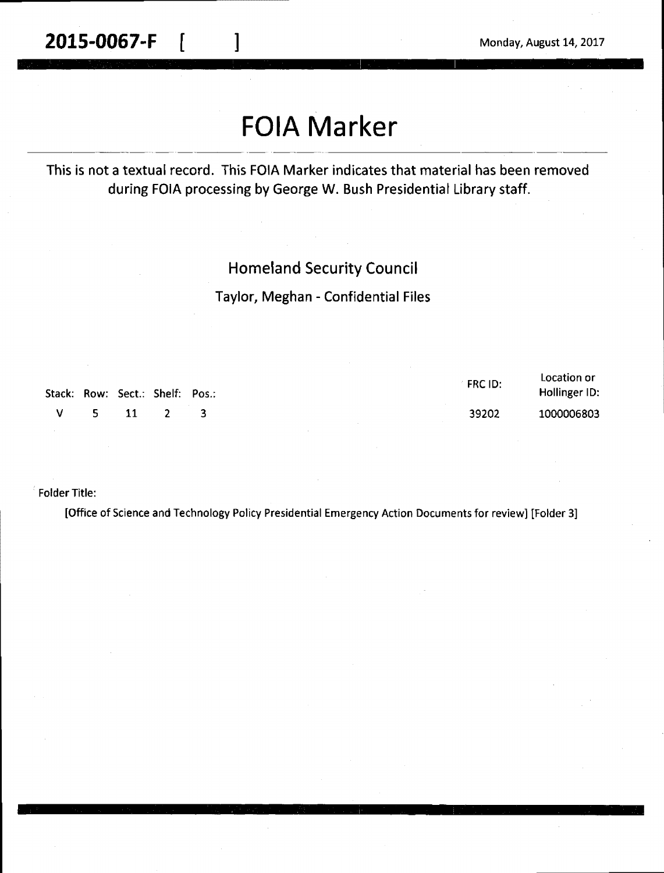# **FOIA Marker**

This is not a textual record. This FOIA Marker indicates that material has been removed during FOIA processing by George W. Bush Presidential Library staff.

#### Homeland Security Council

Taylor, Meghan - Confidential Files

| Stack: Row: Sect.: Shelf: Pos.: |            |  | <b>FRCID:</b> | Location or<br>Hollinger ID: |
|---------------------------------|------------|--|---------------|------------------------------|
|                                 | $V = 5$ 11 |  | 39202         | 1000006803                   |

Folder Title:

[Office of Science and Technology Policy Presidential Emergency Action Documents for review] [Folder 3]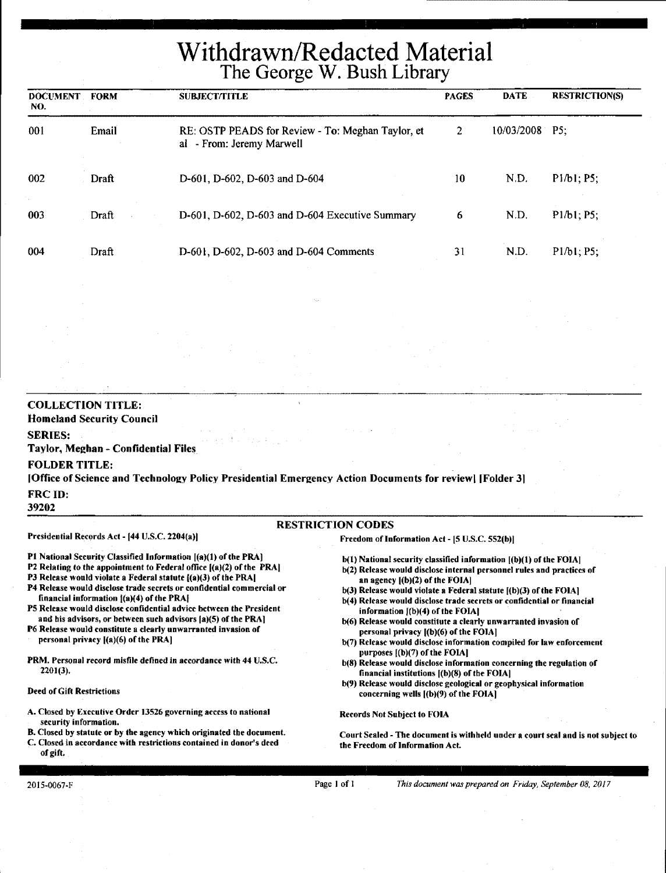# Withdrawn/Redacted Material The George W. Bush Library

| <b>DOCUMENT</b><br>NO. | <b>FORM</b> | <b>SUBJECT/TITLE</b>                                                           | <b>PAGES</b> | <b>DATE</b>    | <b>RESTRICTION(S)</b> |
|------------------------|-------------|--------------------------------------------------------------------------------|--------------|----------------|-----------------------|
| 001                    | Email       | RE: OSTP PEADS for Review - To: Meghan Taylor, et<br>al - From: Jeremy Marwell | 2            | 10/03/2008 P5; |                       |
| 002                    | Draft       | D-601, D-602, D-603 and D-604                                                  | 10           | N.D.           | P1/b1; P5;            |
| 003                    | Draft       | D-601, D-602, D-603 and D-604 Executive Summary                                | 6            | N.D.           | P1/b1; P5;            |
| 004                    | Draft       | D-601, D-602, D-603 and D-604 Comments                                         | 31           | N.D.           | P1/b1; P5;            |

#### **COLLECTION TITLE: Homeland Security Council SERIES: Taylor, Me2han** - **Confidential Files FOLDER TITLE:**  [Office of Science and Technology Policy Presidential Emergency Action Documents for review] [Folder 31 FRCID: 39202 RESTRICTION CODES Presidential Records Act - [44 U.S.C. 2204(a)] P1 National Security Classified Information [(a)(1) of the PRA] P2 Relating to the appointment to Federal office [(a)(2) of the PRAI P3 Release would violate a Federal statute  $[(a)(3)$  of the PRA] P4 Release would disclose trade secrets or confidential commercial or financial information  $[(a)(4)$  of the PRA $[$ PS Release would disclose confidential advice between the President and his advisors, or between such advisors [a)(S) of the PRA] P6 Release would constitute a clearly unwarranted invasion of personal privacy [(a)(6) of the **PRA)** · **PRM,** Personal record misfile defined in accordance with 44 U.S.C. 2201(3), Freedom of Information Act - [5 U.S.C. 552(b)I  $b(1)$  National security classified information  $[ (b)(1)$  of the FOIA] b(2) Release would disclose internal personnel rules and practices of an agency  $|(b)(2)$  of the FOIA]  $b(3)$  Release would violate a Federal statute  $[(b)(3)$  of the FOIA] b(4) Release would disclose trade secrets or confidential or financial information  $[(b)(4)$  of the FOIA] b(6) Release would constitute a clearly unwarranted invasion of personal privacy  $|(b)(6)$  of the FOIA] b(7) Release would disclose information compiled for law enforcement purposes [(b)(7) of the FOIAJ b(S) Release would disclose information concerning the regulation of financial institutions l(b)(8) of the FOIAI

#### Deed of Gift Restrictions

A. Closed by Executive Order 13526 governing access to national security information.

B. Closed by statute or by the agency which originated the document.

C. Closed in accordance with restrictions contained in donor's deed of gift.

b(9) Release would disclose geological or geophysical information concerning wells  $[(b)(9)$  of the FOIA]

Records Not Subject to FOIA

Court Sealed - The document is withheld under a court seal and is not subject to the Freedom of Information Act.

Page I of l *This document was prepared on Friday, September 08, 2017*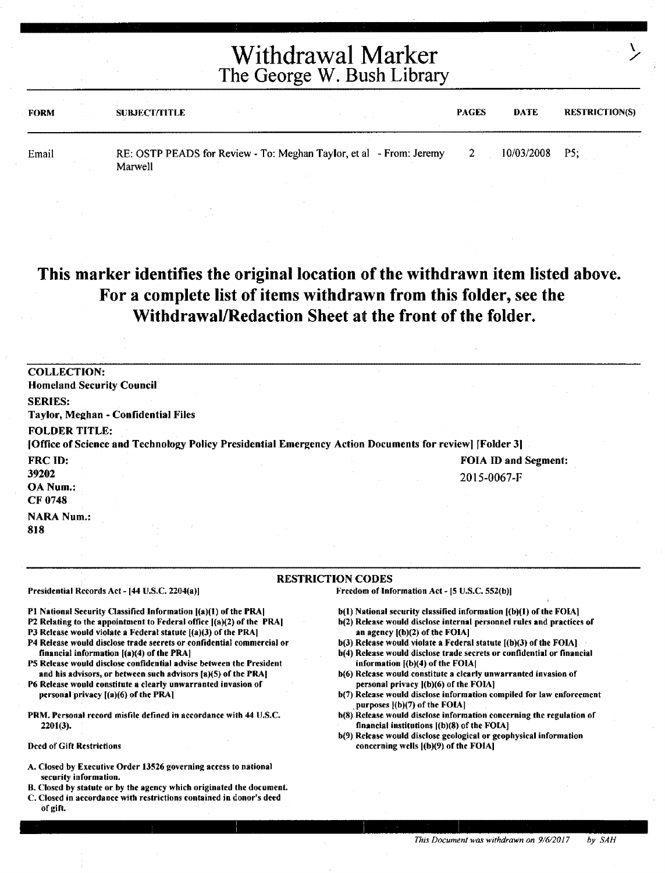| <b>FORM</b> | <b>SUBJECT/FITLE</b>                                                           | <b>PAGES</b> | DATE       | <b>RESTRICTION(S)</b> |
|-------------|--------------------------------------------------------------------------------|--------------|------------|-----------------------|
| Email       | RE: OSTP PEADS for Review - To: Meghan Taylor, et al - From: Jeremy<br>Marwell |              | 10/03/2008 | - P5:                 |

#### This marker identifies the original location of the withdrawn item listed above. For a complete list of items withdrawn from this folder, see the Withdrawal/Redaction Sheet at the front of the folder.

| <b>COLLECTION:</b><br><b>Homeland Security Council</b>                                                  |                      |
|---------------------------------------------------------------------------------------------------------|----------------------|
| <b>SERIES:</b>                                                                                          |                      |
| Taylor, Meghan - Confidential Files                                                                     |                      |
| <b>FOLDER TITLE:</b>                                                                                    |                      |
| [Office of Science and Technology Policy Presidential Emergency Action Documents for review] [Folder 3] |                      |
| FRC ID:                                                                                                 | FOIA ID and Segment: |
| 39202                                                                                                   | 2015-0067-F          |
| OA Num.:                                                                                                |                      |
| CF 0748                                                                                                 |                      |
| <b>NARA Num.:</b>                                                                                       |                      |
| 818                                                                                                     |                      |
|                                                                                                         |                      |

#### RESTRICTION CODES

Presidential Records Act - [44 U.S.C. 2204(a)]

Freedom of Information Act - [5 U.S.C. 552(b)I

Pl National Security Classified Information [(a)(I) of the PRAI

P2 Relating to the appointment to Federal office l(a)(2) of the PRAI

P3 Release would violate a Federal statute  $[(a)(3)$  of the PRA]

- P4 Release would disclose trade secrets or confidential commercial or financial information [(a)(4) of the PRA)
- P5 Release would disclose confidential advise between the President and his advisors, or between such advisors (a)(S) of the PRAI
- P6 Release would constitute a clearly unwarranted invasion of personal privacy ((a)(6) of the PRA]
- PRM. Personal record misfile defined in accordance with 44 U.S.C. 2201(3).

Deed of Gift Restrictions

- A, Closed by Executive Order 13526 governing access to national security information,
- B. Closed by statute or by the agency which originated the document.
- C. Closed in accordance with restrictions contained in donor's deed of gift.
- b(1) National security classified information  $[**(b)(1)**$  of the FOIA]
- b(2) Release would disclose internal personnel rules and practices of an agency ((b)(2) of the FOIAI
- $b(3)$  Release would violate a Federal statute  $(6)(3)$  of the FOIA]
- b(4) Release would disclose trade secrets or confidential or financial information  $({**b**})(4)$  of the FOIA
- b(6) Release would constitute a clearly unwarranted invasion of personal privacy [(b)(6) of the FOIA]
- b(7) Release would disclose information compiled for law enforcement , purposes f(b)(7) of the FOIAI
- b(8) Release would disclose information concerning the regulation of financial institutions **((b)(S)** of the FOIAJ
- b(9) Release would disclose geological or geophysical information concerning wells [(b)(9) of the FOIAI

 $\mathbf{r}$ ./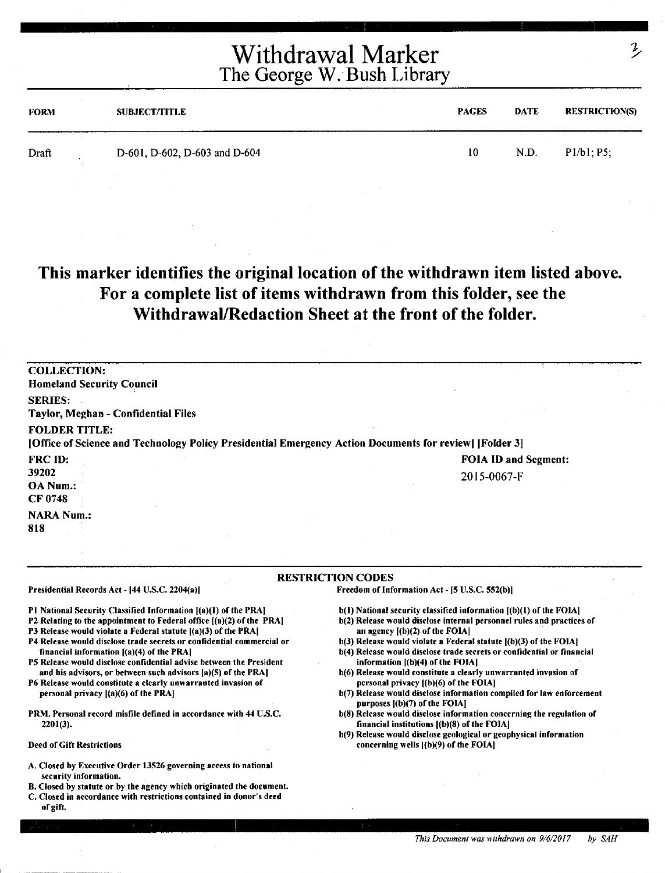| <b>FORM</b> | <b>SUBJECT/TITLE</b>          | <b>PAGES</b> | <b>DATE</b> | <b>RESTRICTION(S)</b> |
|-------------|-------------------------------|--------------|-------------|-----------------------|
| Draft       | D-601, D-602, D-603 and D-604 | 10           | N.D.        | P1/b1; P5;            |

#### This marker identifies the original location of the withdrawn item listed above. For a complete list of items withdrawn from this folder, see the Withdrawal/Redaction Sheet at the front of the folder.

| <b>COLLECTION:</b>                                                                                      |                      |
|---------------------------------------------------------------------------------------------------------|----------------------|
| <b>Homeland Security Council</b>                                                                        |                      |
| <b>SERIES:</b>                                                                                          |                      |
| Taylor, Meghan - Confidential Files                                                                     |                      |
| <b>FOLDER TITLE:</b>                                                                                    |                      |
| [Office of Science and Technology Policy Presidential Emergency Action Documents for review] [Folder 3] |                      |
| <b>FRC ID:</b>                                                                                          | FOIA ID and Segment: |
| 39202                                                                                                   | 2015-0067-F          |
| OA Num.:                                                                                                |                      |
| CF 0748                                                                                                 |                      |
| <b>NARA Num.:</b>                                                                                       |                      |
| 818                                                                                                     |                      |
|                                                                                                         |                      |

#### RESTRICTION CODES

Presidential Records Act - [44 U.S.C. 2204(a)]

Pt National Security Classified Information [(a)(l) of the PRAJ

- P2 Relating to the appointment to Federal office [(a)(2) of the PRAJ
- P3 Release would violate a Federal statute  $[(a)(3)$  of the PRA]
- P4 Release would disclose trade secrets or confidential commercial or financial information [(a)(4) of the PRA[
- PS Release would disclose confidential advise between the President and his advisors, or between such advisors [a)(5) of the PRA]

P6 Release would constitute a clearly unwarranted invasion of personal privacy ((a)(6) of the PRAJ

**PRM.** Personal record misfile defined in accordance with 44 U.S.C. 2201(3),

Deed of Gift Restrictions

- A. Closed by Executive Order 13526 governing access to national security information.
- B, Closed by statute or by the agency which originated the document.
- C. Closed in accordance with restrictions contained in donor's deed of gift.

 $b(1)$  National security classified information  $[(b)(1)$  of the FOIA]

Freedom of Information Act - [5 U.S.C. 552(b)]

- b(2) Release would disclose internal personnel rules and practices of an agency [(b)(2) of the FOIA]
- b(3) Release would violate a Federal statute  $I(b)(3)$  of the FOIAl b(4) Release would disclose trade secrets or confidential or financial
- information **[(b)(4)** of the FOIAJ b(6) Release would constitute a clearly unwarranted invasion of personal privacy [(b)(6) of the FOIA]
- b(7) Release would disclose information compiled for law enforcement purposes [(b)(7) of the FOIA]
- b(8) Release would disclose information concerning the regulation of financial institutions ((b)(8) of the FOIAJ
- b(9) Release would disclose geological or geophysical information concerning wells ((b)(9) of the FOIA)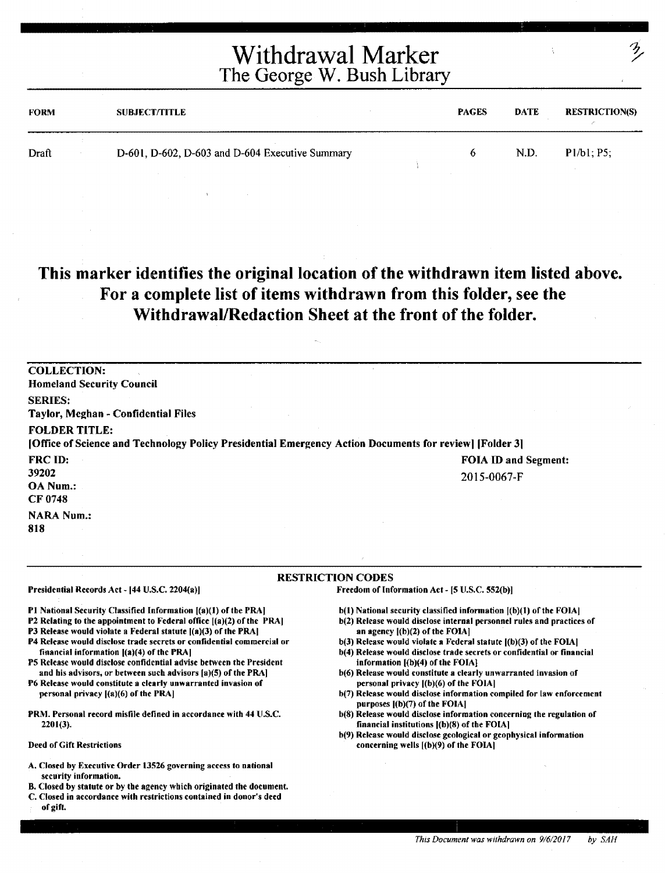| <b>FORM</b> | <b>SUBJECT/TITLE</b>                            | <b>PAGES</b> | <b>DATE</b> | <b>RESTRICTION(S)</b> |
|-------------|-------------------------------------------------|--------------|-------------|-----------------------|
| Draft       | D-601, D-602, D-603 and D-604 Executive Summary | o            | N.D.        | P1/b1: P5             |

#### This marker identifies the original location of the withdrawn item listed above. For a complete list of items withdrawn from this folder, see the Withdrawal/Redaction Sheet at the front of the folder.

| <b>COLLECTION:</b>                                                                                                              |                             |
|---------------------------------------------------------------------------------------------------------------------------------|-----------------------------|
| <b>Homeland Security Council</b>                                                                                                |                             |
| <b>SERIES:</b><br>Taylor, Meghan - Confidential Files                                                                           |                             |
| <b>FOLDER TITLE:</b><br>[Office of Science and Technology Policy Presidential Emergency Action Documents for review] [Folder 3] |                             |
| <b>FRC ID:</b>                                                                                                                  | <b>FOIA ID and Segment:</b> |
| 39202                                                                                                                           | 2015-0067-F                 |
| OA Num.:                                                                                                                        |                             |
| <b>CF 0748</b>                                                                                                                  |                             |
| <b>NARA Num.:</b>                                                                                                               |                             |

**818** 

#### **RESTRICTION** CODES

Presidential Records Act - [44 U.S.C. 2204(a)]

**Pl** National Security Classified Information [(a)(l) of the PRAI

- P2 Relating to the appointment to Federal office  $[(a)(2)$  of the PRA]
- P3 Release would violate a Federal statute  $[(a)(3)$  of the PRA
- **P4** Release would disclose trade secrets or confidential commercial or financial information [(a)(4) of the PRAI
- PS Release would disclose confidential advise between the President and his advisors, or between such advisors [a)(S) of the PRAI

P6 Release would constitute a clearly unwarranted invasion of personal privacy [(a)(6) of the PRA)

PRM. Personal record misfile defined in accordance with 44 U.S.C. 2201(3).

Deed of Gift Restrictions

- A. Closed by Executive Order 13526 governing access to national security information.
- B. Closed by statute or by the agency which originated the document.
- C. Closed in accordance with restrictions contained in donor's deed of gift.

h(l) National security classified information [(b)(l) of the FOIAJ

Freedom of Information Act - [5 U.S.C. 552(b)]

- b(2) Release would disclose internal personnel rules and practices of an agency  $[(b)(2)$  of the FOIA]
- b(3) Release would violate a Federal statute ((b)(3) of the FOIAI
- b(4) Release would disclose trade secrets or confidential or financial information [(b)(4) of the FOIA]
- b(6) Release would constitute a clearly unwarranted invasion of personal privacy ((b)(6) of the FOIAJ
- b(7) Release would disclose information compiled for law enforcement purposes ((b)(7) of the FOIAJ
- b(8) Release would disclose information concerning the regulation of financial institutions ((b)(8) of the FOIAI
- b(9) Release would disclose geological or geophysical information concerning wells ((b)(9) of the FOIA)